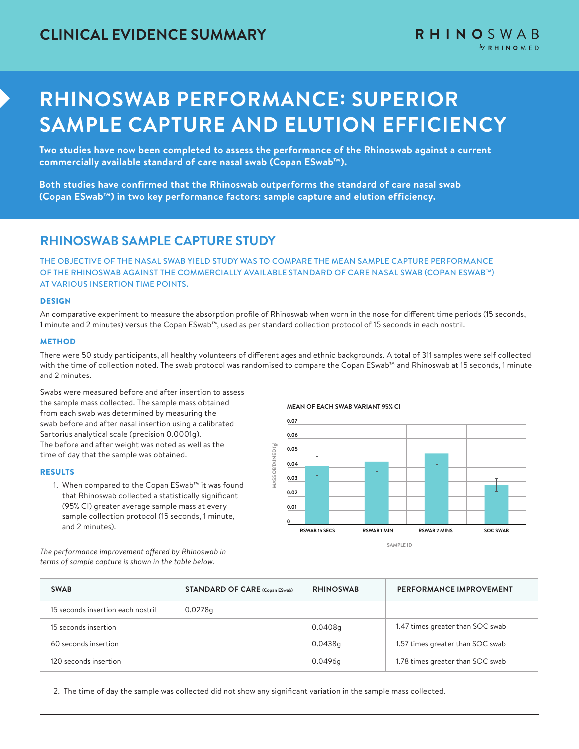# **RHINOSWAB PERFORMANCE: SUPERIOR SAMPLE CAPTURE AND ELUTION EFFICIENCY**

**Two studies have now been completed to assess the performance of the Rhinoswab against a current commercially available standard of care nasal swab (Copan ESwab™).**

**Both studies have confirmed that the Rhinoswab outperforms the standard of care nasal swab (Copan ESwab™) in two key performance factors: sample capture and elution efficiency.**

## **RHINOSWAB SAMPLE CAPTURE STUDY**

THE OBJECTIVE OF THE NASAL SWAB YIELD STUDY WAS TO COMPARE THE MEAN SAMPLE CAPTURE PERFORMANCE OF THE RHINOSWAB AGAINST THE COMMERCIALLY AVAILABLE STANDARD OF CARE NASAL SWAB (COPAN ESWAB™) AT VARIOUS INSERTION TIME POINTS.

#### DESIGN

An comparative experiment to measure the absorption profile of Rhinoswab when worn in the nose for different time periods (15 seconds, 1 minute and 2 minutes) versus the Copan ESwab™, used as per standard collection protocol of 15 seconds in each nostril.

#### **METHOD**

There were 50 study participants, all healthy volunteers of different ages and ethnic backgrounds. A total of 311 samples were self collected with the time of collection noted. The swab protocol was randomised to compare the Copan ESwab™ and Rhinoswab at 15 seconds, 1 minute and 2 minutes.

Swabs were measured before and after insertion to assess the sample mass collected. The sample mass obtained from each swab was determined by measuring the swab before and after nasal insertion using a calibrated Sartorius analytical scale (precision 0.0001g). The before and after weight was noted as well as the time of day that the sample was obtained.

#### RESULTS

1. When compared to the Copan ESwab™ it was found that Rhinoswab collected a statistically significant (95% CI) greater average sample mass at every sample collection protocol (15 seconds, 1 minute, and 2 minutes).

**0.07 0.06** AASS OBTAINED (g) **MASS OBTAINED (g) 0.05 0.04 0.03 0.02 0.01 0 RSWAB 15 SECS** RSWAB 1 MIN RSWAB 2 MINS **SOC SWAB SAMPLE ID**

*The performance improvement offered by Rhinoswab in terms of sample capture is shown in the table below.* 

| <b>SWAB</b>                       | <b>STANDARD OF CARE (Copan ESwab)</b> | <b>RHINOSWAB</b> | <b>PERFORMANCE IMPROVEMENT</b>   |
|-----------------------------------|---------------------------------------|------------------|----------------------------------|
| 15 seconds insertion each nostril | 0.0278q                               |                  |                                  |
| 15 seconds insertion              |                                       | 0.0408q          | 1.47 times greater than SOC swab |
| 60 seconds insertion              |                                       | 0.0438g          | 1.57 times greater than SOC swab |
| 120 seconds insertion             |                                       | 0.0496q          | 1.78 times greater than SOC swab |

2. The time of day the sample was collected did not show any significant variation in the sample mass collected.

#### **MEAN OF EACH SWAB VARIANT 95% CI**